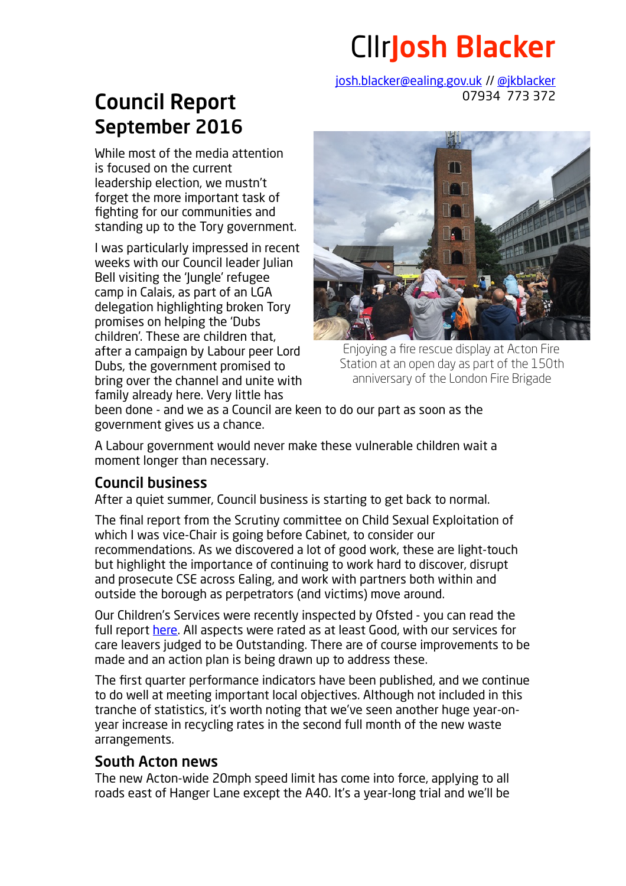## CllrJosh Blacker

[josh.blacker@ealing.gov.uk](mailto:josh.blacker@ealing.gov.uk) // [@jkblacker](http://twitter.com/jkblacker) 07934 773 372

## Council Report September 2016

While most of the media attention is focused on the current leadership election, we mustn't forget the more important task of fighting for our communities and standing up to the Tory government.

I was particularly impressed in recent weeks with our Council leader Julian Bell visiting the 'lungle' refugee camp in Calais, as part of an LGA delegation highlighting broken Tory promises on helping the 'Dubs children'. These are children that, after a campaign by Labour peer Lord Dubs, the government promised to bring over the channel and unite with family already here. Very little has



Enjoying a fire rescue display at Acton Fire Station at an open day as part of the 150th anniversary of the London Fire Brigade

been done - and we as a Council are keen to do our part as soon as the government gives us a chance.

A Labour government would never make these vulnerable children wait a moment longer than necessary.

## Council business

After a quiet summer, Council business is starting to get back to normal.

The final report from the Scrutiny committee on Child Sexual Exploitation of which I was vice-Chair is going before Cabinet, to consider our recommendations. As we discovered a lot of good work, these are light-touch but highlight the importance of continuing to work hard to discover, disrupt and prosecute CSE across Ealing, and work with partners both within and outside the borough as perpetrators (and victims) move around.

Our Children's Services were recently inspected by Ofsted - you can read the full report [here.](http://reports.ofsted.gov.uk/local-authorities/ealing) All aspects were rated as at least Good, with our services for care leavers judged to be Outstanding. There are of course improvements to be made and an action plan is being drawn up to address these.

The first quarter performance indicators have been published, and we continue to do well at meeting important local objectives. Although not included in this tranche of statistics, it's worth noting that we've seen another huge year-onyear increase in recycling rates in the second full month of the new waste arrangements.

## South Acton news

The new Acton-wide 20mph speed limit has come into force, applying to all roads east of Hanger Lane except the A40. It's a year-long trial and we'll be